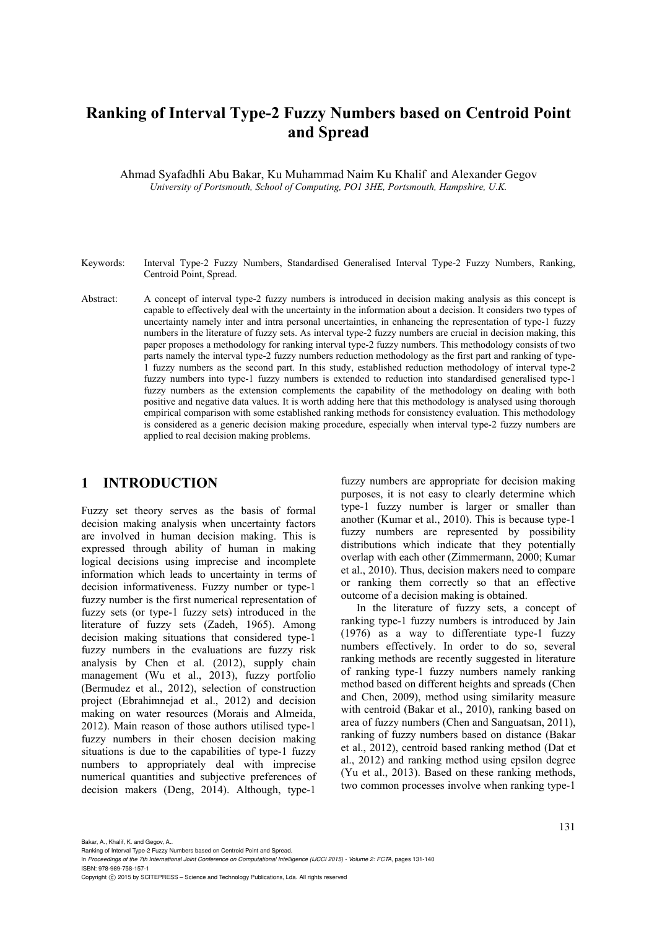# **Ranking of Interval Type-2 Fuzzy Numbers based on Centroid Point and Spread**

Ahmad Syafadhli Abu Bakar, Ku Muhammad Naim Ku Khalif and Alexander Gegov *University of Portsmouth, School of Computing, PO1 3HE, Portsmouth, Hampshire, U.K.* 

- Keywords: Interval Type-2 Fuzzy Numbers, Standardised Generalised Interval Type-2 Fuzzy Numbers, Ranking, Centroid Point, Spread.
- Abstract: A concept of interval type-2 fuzzy numbers is introduced in decision making analysis as this concept is capable to effectively deal with the uncertainty in the information about a decision. It considers two types of uncertainty namely inter and intra personal uncertainties, in enhancing the representation of type-1 fuzzy numbers in the literature of fuzzy sets. As interval type-2 fuzzy numbers are crucial in decision making, this paper proposes a methodology for ranking interval type-2 fuzzy numbers. This methodology consists of two parts namely the interval type-2 fuzzy numbers reduction methodology as the first part and ranking of type-1 fuzzy numbers as the second part. In this study, established reduction methodology of interval type-2 fuzzy numbers into type-1 fuzzy numbers is extended to reduction into standardised generalised type-1 fuzzy numbers as the extension complements the capability of the methodology on dealing with both positive and negative data values. It is worth adding here that this methodology is analysed using thorough empirical comparison with some established ranking methods for consistency evaluation. This methodology is considered as a generic decision making procedure, especially when interval type-2 fuzzy numbers are applied to real decision making problems.

# **1 INTRODUCTION**

Fuzzy set theory serves as the basis of formal decision making analysis when uncertainty factors are involved in human decision making. This is expressed through ability of human in making logical decisions using imprecise and incomplete information which leads to uncertainty in terms of decision informativeness. Fuzzy number or type-1 fuzzy number is the first numerical representation of fuzzy sets (or type-1 fuzzy sets) introduced in the literature of fuzzy sets (Zadeh, 1965). Among decision making situations that considered type-1 fuzzy numbers in the evaluations are fuzzy risk analysis by Chen et al. (2012), supply chain management (Wu et al., 2013), fuzzy portfolio (Bermudez et al., 2012), selection of construction project (Ebrahimnejad et al., 2012) and decision making on water resources (Morais and Almeida, 2012). Main reason of those authors utilised type-1 fuzzy numbers in their chosen decision making situations is due to the capabilities of type-1 fuzzy numbers to appropriately deal with imprecise numerical quantities and subjective preferences of decision makers (Deng, 2014). Although, type-1

fuzzy numbers are appropriate for decision making purposes, it is not easy to clearly determine which type-1 fuzzy number is larger or smaller than another (Kumar et al., 2010). This is because type-1 fuzzy numbers are represented by possibility distributions which indicate that they potentially overlap with each other (Zimmermann, 2000; Kumar et al., 2010). Thus, decision makers need to compare or ranking them correctly so that an effective outcome of a decision making is obtained.

In the literature of fuzzy sets, a concept of ranking type-1 fuzzy numbers is introduced by Jain (1976) as a way to differentiate type-1 fuzzy numbers effectively. In order to do so, several ranking methods are recently suggested in literature of ranking type-1 fuzzy numbers namely ranking method based on different heights and spreads (Chen and Chen, 2009), method using similarity measure with centroid (Bakar et al., 2010), ranking based on area of fuzzy numbers (Chen and Sanguatsan, 2011), ranking of fuzzy numbers based on distance (Bakar et al., 2012), centroid based ranking method (Dat et al., 2012) and ranking method using epsilon degree (Yu et al., 2013). Based on these ranking methods, two common processes involve when ranking type-1

Bakar, A., Khalif, K. and Gegov, A..

Ranking of Interval Type-2 Fuzzy Numbers based on Centroid Point and Spread.

In *Proceedings of the 7th International Joint Conference on Computational Intelligence (IJCCI 2015) - Volume 2: FCTA*, pages 131-140 ISBN: 978-989-758-157-1

Copyright (c) 2015 by SCITEPRESS - Science and Technology Publications, Lda. All rights reserved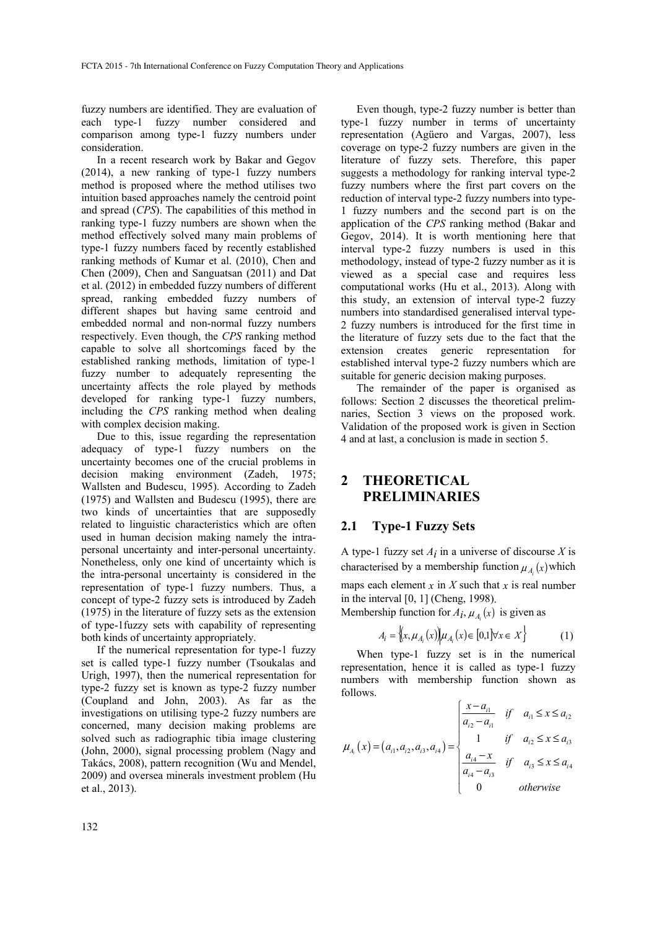fuzzy numbers are identified. They are evaluation of each type-1 fuzzy number considered and comparison among type-1 fuzzy numbers under consideration.

In a recent research work by Bakar and Gegov (2014), a new ranking of type-1 fuzzy numbers method is proposed where the method utilises two intuition based approaches namely the centroid point and spread (*CPS*). The capabilities of this method in ranking type-1 fuzzy numbers are shown when the method effectively solved many main problems of type-1 fuzzy numbers faced by recently established ranking methods of Kumar et al. (2010), Chen and Chen (2009), Chen and Sanguatsan (2011) and Dat et al. (2012) in embedded fuzzy numbers of different spread, ranking embedded fuzzy numbers of different shapes but having same centroid and embedded normal and non-normal fuzzy numbers respectively. Even though, the *CPS* ranking method capable to solve all shortcomings faced by the established ranking methods, limitation of type-1 fuzzy number to adequately representing the uncertainty affects the role played by methods developed for ranking type-1 fuzzy numbers, including the *CPS* ranking method when dealing with complex decision making.

Due to this, issue regarding the representation adequacy of type-1 fuzzy numbers on the uncertainty becomes one of the crucial problems in decision making environment (Zadeh, 1975; Wallsten and Budescu, 1995). According to Zadeh (1975) and Wallsten and Budescu (1995), there are two kinds of uncertainties that are supposedly related to linguistic characteristics which are often used in human decision making namely the intrapersonal uncertainty and inter-personal uncertainty. Nonetheless, only one kind of uncertainty which is the intra-personal uncertainty is considered in the representation of type-1 fuzzy numbers. Thus, a concept of type-2 fuzzy sets is introduced by Zadeh (1975) in the literature of fuzzy sets as the extension of type-1fuzzy sets with capability of representing both kinds of uncertainty appropriately.

If the numerical representation for type-1 fuzzy set is called type-1 fuzzy number (Tsoukalas and Urigh, 1997), then the numerical representation for type-2 fuzzy set is known as type-2 fuzzy number (Coupland and John, 2003). As far as the investigations on utilising type-2 fuzzy numbers are concerned, many decision making problems are solved such as radiographic tibia image clustering (John, 2000), signal processing problem (Nagy and Takács, 2008), pattern recognition (Wu and Mendel, 2009) and oversea minerals investment problem (Hu et al., 2013).

Even though, type-2 fuzzy number is better than type-1 fuzzy number in terms of uncertainty representation (Agüero and Vargas, 2007), less coverage on type-2 fuzzy numbers are given in the literature of fuzzy sets. Therefore, this paper suggests a methodology for ranking interval type-2 fuzzy numbers where the first part covers on the reduction of interval type-2 fuzzy numbers into type-1 fuzzy numbers and the second part is on the application of the *CPS* ranking method (Bakar and Gegov, 2014). It is worth mentioning here that interval type-2 fuzzy numbers is used in this methodology, instead of type-2 fuzzy number as it is viewed as a special case and requires less computational works (Hu et al., 2013). Along with this study, an extension of interval type-2 fuzzy numbers into standardised generalised interval type-2 fuzzy numbers is introduced for the first time in the literature of fuzzy sets due to the fact that the extension creates generic representation for established interval type-2 fuzzy numbers which are suitable for generic decision making purposes.

The remainder of the paper is organised as follows: Section 2 discusses the theoretical prelimnaries, Section 3 views on the proposed work. Validation of the proposed work is given in Section 4 and at last, a conclusion is made in section 5.

# **2 THEORETICAL PRELIMINARIES**

### **2.1 Type-1 Fuzzy Sets**

A type-1 fuzzy set  $A_i$  in a universe of discourse  $X$  is characterised by a membership function  $\mu_A(x)$  which

maps each element  $x$  in  $X$  such that  $x$  is real number in the interval [0, 1] (Cheng, 1998).

Membership function for  $A_i$ ,  $\mu_A(x)$  is given as

$$
A_i = \left\{ (x, \mu_{A_i}(x)) | \mu_{A_i}(x) \in [0, 1] \forall x \in X \right\}
$$
 (1)

When type-1 fuzzy set is in the numerical representation, hence it is called as type-1 fuzzy numbers with membership function shown as follows.

$$
\mu_{A_i}(x) = (a_{i1}, a_{i2}, a_{i3}, a_{i4}) = \begin{cases} \frac{x - a_{i1}}{a_{i2} - a_{i1}} & \text{if } a_{i1} \le x \le a_{i2} \\ 1 & \text{if } a_{i2} \le x \le a_{i3} \\ \frac{a_{i4} - x}{a_{i4} - a_{i3}} & \text{if } a_{i3} \le x \le a_{i4} \\ 0 & \text{otherwise} \end{cases}
$$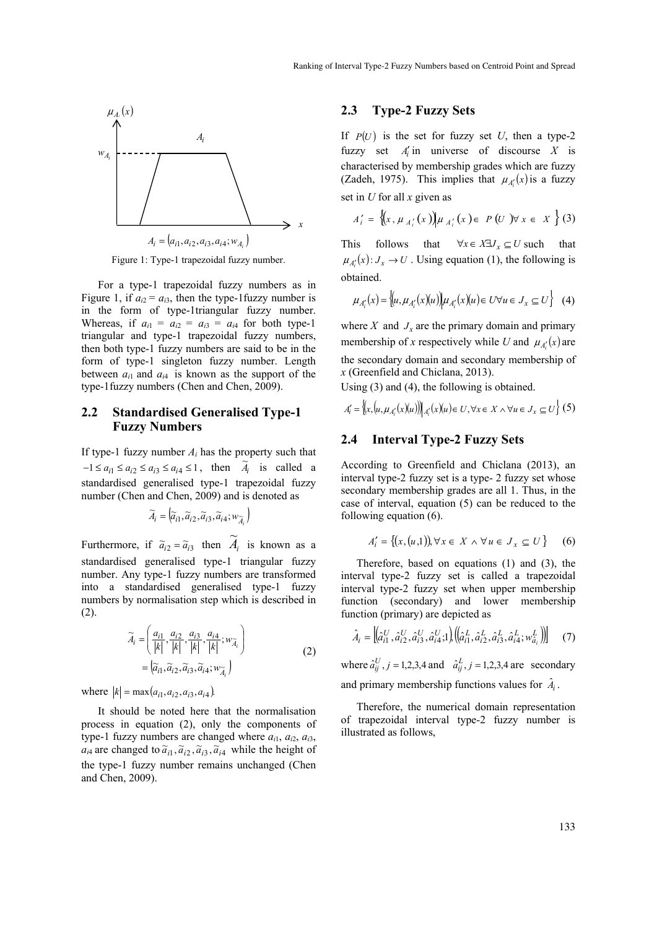

Figure 1: Type-1 trapezoidal fuzzy number.

For a type-1 trapezoidal fuzzy numbers as in Figure 1, if  $a_{i2} = a_{i3}$ , then the type-1 fuzzy number is in the form of type-1triangular fuzzy number. Whereas, if  $a_{i1} = a_{i2} = a_{i3} = a_{i4}$  for both type-1 triangular and type-1 trapezoidal fuzzy numbers, then both type-1 fuzzy numbers are said to be in the form of type-1 singleton fuzzy number. Length between  $a_{i1}$  and  $a_{i4}$  is known as the support of the type-1fuzzy numbers (Chen and Chen, 2009).

#### **2.2 Standardised Generalised Type-1 Fuzzy Numbers**

If type-1 fuzzy number  $A_i$  has the property such that  $-1 \le a_{i1} \le a_{i2} \le a_{i3} \le a_{i4} \le 1$ , then  $\tilde{A}_i$  is called a standardised generalised type-1 trapezoidal fuzzy number (Chen and Chen, 2009) and is denoted as

$$
\widetilde{A}_i = \left(\widetilde{a}_{i1}, \widetilde{a}_{i2}, \widetilde{a}_{i3}, \widetilde{a}_{i4}; w_{\widetilde{A}_i}\right)
$$

Furthermore, if  $\tilde{a}_{i2} = \tilde{a}_{i3}$  then  $\tilde{A}_i$  is known as a standardised generalised type-1 triangular fuzzy number. Any type-1 fuzzy numbers are transformed into a standardised generalised type-1 fuzzy numbers by normalisation step which is described in (2).

$$
\widetilde{A}_{i} = \left(\frac{a_{i1}}{|k|}, \frac{a_{i2}}{|k|}, \frac{a_{i3}}{|k|}, \frac{a_{i4}}{|k|}; w_{\widetilde{A}_{i}}\right)
$$
\n
$$
= \left(\widetilde{a}_{i1}, \widetilde{a}_{i2}, \widetilde{a}_{i3}, \widetilde{a}_{i4}; w_{\widetilde{A}_{i}}\right)
$$
\n(2)

where  $|k| = \max(a_{i1}, a_{i2}, a_{i3}, a_{i4})$ 

It should be noted here that the normalisation process in equation (2), only the components of type-1 fuzzy numbers are changed where *ai*1, *ai*2, *ai*3,  $a_{i4}$  are changed to  $\tilde{a}_{i1}, \tilde{a}_{i2}, \tilde{a}_{i3}, \tilde{a}_{i4}$  while the height of the type-1 fuzzy number remains unchanged (Chen and Chen, 2009).

#### **2.3 Type-2 Fuzzy Sets**

If  $P(U)$  is the set for fuzzy set *U*, then a type-2 fuzzy set  $A'_i$  in universe of discourse  $X$  is characterised by membership grades which are fuzzy (Zadeh, 1975). This implies that  $\mu_{A}$  (*x*) is a fuzzy set in *U* for all *x* given as

$$
A'_{i} = \{(x, \mu_{A'_{i}}(x)) | \mu_{A'_{i}}(x) \in P(U) \forall x \in X \} (3)
$$

This follows that  $\forall x \in X \exists J_x \subseteq U$  such that  $\mu_{A'_i}(x) : J_x \to U$ . Using equation (1), the following is obtained.

$$
\mu_{A'_i}(x) = \left\{ (u, \mu_{A'_i}(x)(u)) \middle| \mu_{A'_i}(x)(u) \in U \forall u \in J_x \subseteq U \right\} \tag{4}
$$

where  $X$  and  $J_x$  are the primary domain and primary membership of *x* respectively while *U* and  $\mu_{A}$  (*x*) are the secondary domain and secondary membership of *x* (Greenfield and Chiclana, 2013).

Using (3) and (4), the following is obtained.

$$
A'_{i} = \left\{ \left\{ x, \left( u, \mu_{A'_{i}}(x)(u) \right) \right\} \middle|_{A'_{i}}(x)(u) \in U, \forall x \in X \land \forall u \in J_{x} \subseteq U \right\} (5)
$$

#### **2.4 Interval Type-2 Fuzzy Sets**

According to Greenfield and Chiclana (2013), an interval type-2 fuzzy set is a type- 2 fuzzy set whose secondary membership grades are all 1. Thus, in the case of interval, equation (5) can be reduced to the following equation (6).

$$
A'_{i} = \{(x, (u, 1)), \forall x \in X \land \forall u \in J_{x} \subseteq U\}
$$
 (6)

Therefore, based on equations (1) and (3), the interval type-2 fuzzy set is called a trapezoidal interval type-2 fuzzy set when upper membership function (secondary) and lower membership function (primary) are depicted as

$$
\hat{A}_i = \left[ \left( \hat{a}_{i1}^U, \hat{a}_{i2}^U, \hat{a}_{i3}^U, \hat{a}_{i4}^U; 1 \right) \left( \left( \hat{a}_{i1}^L, \hat{a}_{i2}^L, \hat{a}_{i3}^L, \hat{a}_{i4}^L; w_{\hat{a}_i}^L \right) \right) \right]
$$
(7)

where  $\hat{a}_{ij}^U$ ,  $j = 1,2,3,4$  and  $\hat{a}_{ij}^L$ ,  $j = 1,2,3,4$  are secondary and primary membership functions values for  $\hat{A}_i$ .

Therefore, the numerical domain representation of trapezoidal interval type-2 fuzzy number is illustrated as follows,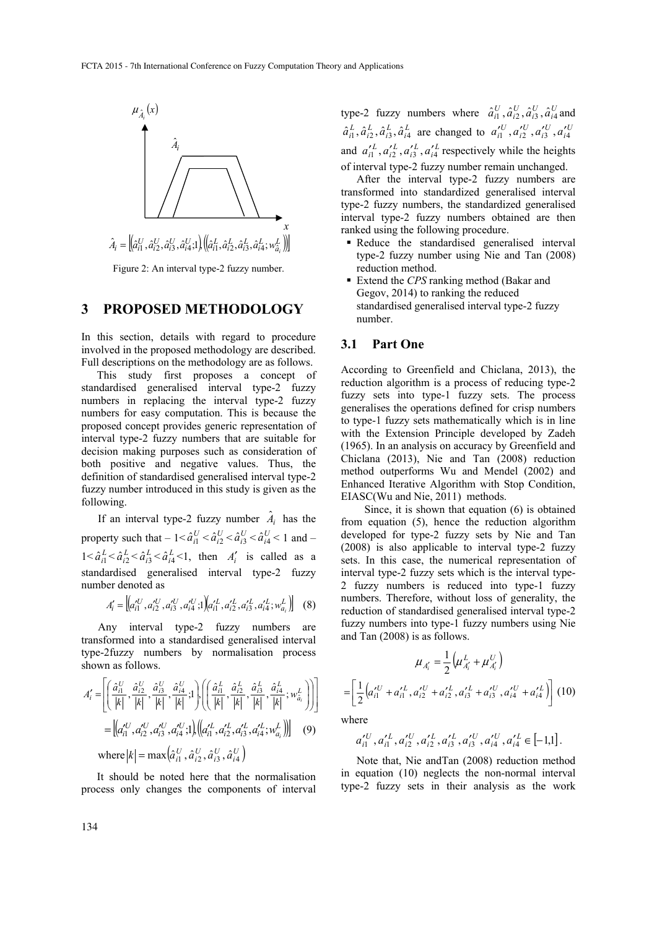

Figure 2: An interval type-2 fuzzy number.

## **3 PROPOSED METHODOLOGY**

In this section, details with regard to procedure involved in the proposed methodology are described. Full descriptions on the methodology are as follows.

This study first proposes a concept of standardised generalised interval type-2 fuzzy numbers in replacing the interval type-2 fuzzy numbers for easy computation. This is because the proposed concept provides generic representation of interval type-2 fuzzy numbers that are suitable for decision making purposes such as consideration of both positive and negative values. Thus, the definition of standardised generalised interval type-2 fuzzy number introduced in this study is given as the following.

If an interval type-2 fuzzy number  $\hat{A}_i$  has the property such that  $-1 < \hat{a}_{i1}^U < \hat{a}_{i2}^U < \hat{a}_{i3}^U < \hat{a}_{i4}^U < 1$  and  $1 < \hat{a}_{i1}^L < \hat{a}_{i2}^L < \hat{a}_{i3}^L < \hat{a}_{i4}^L < 1$ , then  $A'_i$  is called as a standardised generalised interval type-2 fuzzy number denoted as

$$
A'_{i} = \left[ \left( a'_{i1}^{U}, a'_{i2}^{U}, a'_{i3}^{U}, a'_{i4}^{U}; 1 \right) \left( a'_{i1}^{L}, a'_{i2}^{L}, a'_{i3}^{L}, a'_{i4}^{L}; w^{L}_{a_{i}} \right) \right]
$$
 (8)

Any interval type-2 fuzzy numbers are transformed into a standardised generalised interval type-2fuzzy numbers by normalisation process shown as follows.

$$
A'_{i} = \left[ \left( \frac{\hat{a}_{i1}^{U}}{|k|}, \frac{\hat{a}_{i2}^{U}}{|k|}, \frac{\hat{a}_{i3}^{U}}{|k|}, \frac{\hat{a}_{i4}^{U}}{|k|}, 1 \right) , \left( \left( \frac{\hat{a}_{i1}^{L}}{|k|}, \frac{\hat{a}_{i2}^{L}}{|k|}, \frac{\hat{a}_{i3}^{L}}{|k|}, \frac{\hat{a}_{i4}^{L}}{|k|}, \frac{\hat{a}_{i4}^{L}}{|k|}, \frac{\hat{a}_{i4}^{L}}{|k|}, \frac{\hat{a}_{i4}^{L}}{|k|}, \frac{\hat{a}_{i4}^{L}}{|k|} \right) \right]
$$
\n
$$
= \left[ \left( a_{i1}^{U}, a_{i2}^{U}, a_{i3}^{U}, a_{i4}^{U}; 1 \right) , \left( \left( a_{i1}^{L}, a_{i2}^{L}, a_{i3}^{L}, a_{i4}^{L}; \mathbf{w}_{a_i}^{L} \right) \right) \right] \quad (9)
$$
\nwhere  $|k| = \max \left( \hat{a}_{i1}^{U}, \hat{a}_{i2}^{U}, \hat{a}_{i3}^{U}, \hat{a}_{i4}^{U} \right)$ 

It should be noted here that the normalisation process only changes the components of interval

type-2 fuzzy numbers where  $\hat{a}_{i1}^U$ ,  $\hat{a}_{i2}^U$ ,  $\hat{a}_{i3}^U$ ,  $\hat{a}_{i4}^U$  and  $\hat{a}_{i1}^L, \hat{a}_{i2}^L, \hat{a}_{i3}^L, \hat{a}_{i4}^L$  are changed to  $a_{i1}^{\prime U}, a_{i2}^{\prime U}, a_{i3}^{\prime U}, a_{i4}^{\prime U}$ and  $a'_{i1}$ ,  $a'_{i2}$ ,  $a'_{i3}$ ,  $a'_{i4}$  respectively while the heights of interval type-2 fuzzy number remain unchanged.

After the interval type-2 fuzzy numbers are transformed into standardized generalised interval type-2 fuzzy numbers, the standardized generalised interval type-2 fuzzy numbers obtained are then ranked using the following procedure.

- Reduce the standardised generalised interval type-2 fuzzy number using Nie and Tan (2008) reduction method.
- Extend the *CPS* ranking method (Bakar and Gegov, 2014) to ranking the reduced standardised generalised interval type-2 fuzzy number.

### **3.1 Part One**

According to Greenfield and Chiclana, 2013), the reduction algorithm is a process of reducing type-2 fuzzy sets into type-1 fuzzy sets. The process generalises the operations defined for crisp numbers to type-1 fuzzy sets mathematically which is in line with the Extension Principle developed by Zadeh (1965). In an analysis on accuracy by Greenfield and Chiclana (2013), Nie and Tan (2008) reduction method outperforms Wu and Mendel (2002) and Enhanced Iterative Algorithm with Stop Condition, EIASC(Wu and Nie, 2011) methods.

Since, it is shown that equation (6) is obtained from equation (5), hence the reduction algorithm developed for type-2 fuzzy sets by Nie and Tan (2008) is also applicable to interval type-2 fuzzy sets. In this case, the numerical representation of interval type-2 fuzzy sets which is the interval type-2 fuzzy numbers is reduced into type-1 fuzzy numbers. Therefore, without loss of generality, the reduction of standardised generalised interval type-2 fuzzy numbers into type-1 fuzzy numbers using Nie and Tan (2008) is as follows.

$$
\mu_{A'_i} = \frac{1}{2} \Big( \mu_{A'_i}^L + \mu_{A'_i}^U \Big)
$$

$$
= \left[ \frac{1}{2} \Big( a'_{i1}^U + a'_{i1}^L, a'_{i2}^U + a'_{i2}^L, a'_{i3}^L + a'_{i3}^U, a'_{i4}^U + a'_{i4}^L \Big) \right] (10)
$$

where

$$
a_{i1}^{\prime U}, a_{i1}^{\prime L}, a_{i2}^{\prime U}, a_{i2}^{\prime L}, a_{i3}^{\prime L}, a_{i3}^{\prime U}, a_{i4}^{\prime U}, a_{i4}^{\prime L} \in [-1,1].
$$

Note that, Nie andTan (2008) reduction method in equation (10) neglects the non-normal interval type-2 fuzzy sets in their analysis as the work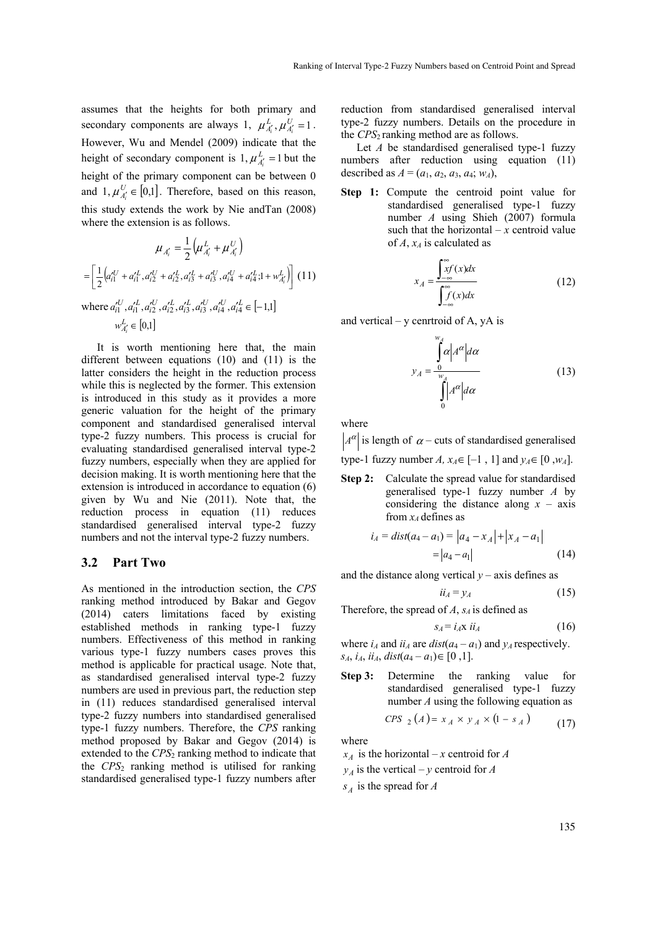assumes that the heights for both primary and secondary components are always 1,  $\mu_{A_i}^L$ ,  $\mu_{A_i}^U = 1$ . However, Wu and Mendel (2009) indicate that the height of secondary component is  $1, \mu_{A_i'}^L = 1$  but the height of the primary component can be between 0 and  $1, \mu_{A_i}^U \in [0,1]$ . Therefore, based on this reason, this study extends the work by Nie andTan (2008) where the extension is as follows.

$$
\mu_{A'_i} = \frac{1}{2} \left( \mu_{A'_i}^L + \mu_{A'_i}^U \right)
$$

$$
= \left[ \frac{1}{2} \left( a_{i1}^{\prime U} + a_{i1}^{\prime L}, a_{i2}^{\prime U} + a_{i2}^{\prime L}, a_{i3}^{\prime L} + a_{i3}^{\prime U}, a_{i4}^{\prime U} + a_{i4}^{\prime L}, 1 + w_{A'_i}^L \right) \right] (11)
$$
where  $a_{i1}^{\prime U}, a_{i1}^{\prime L}, a_{i2}^{\prime U}, a_{i3}^{\prime L}, a_{i3}^{\prime U}, a_{i4}^{\prime U}, a_{i4}^{\prime L} = [-1,1]$ 

 $w_{A'_{i}}^{L} \in [0,1]$ It is worth mentioning here that, the main

different between equations (10) and (11) is the latter considers the height in the reduction process while this is neglected by the former. This extension is introduced in this study as it provides a more generic valuation for the height of the primary component and standardised generalised interval type-2 fuzzy numbers. This process is crucial for evaluating standardised generalised interval type-2 fuzzy numbers, especially when they are applied for decision making. It is worth mentioning here that the extension is introduced in accordance to equation (6) given by Wu and Nie (2011). Note that, the reduction process in equation (11) reduces standardised generalised interval type-2 fuzzy numbers and not the interval type-2 fuzzy numbers.

#### **3.2 Part Two**

As mentioned in the introduction section, the *CPS* ranking method introduced by Bakar and Gegov (2014) caters limitations faced by existing established methods in ranking type-1 fuzzy numbers. Effectiveness of this method in ranking various type-1 fuzzy numbers cases proves this method is applicable for practical usage. Note that, as standardised generalised interval type-2 fuzzy numbers are used in previous part, the reduction step in (11) reduces standardised generalised interval type-2 fuzzy numbers into standardised generalised type-1 fuzzy numbers. Therefore, the *CPS* ranking method proposed by Bakar and Gegov (2014) is extended to the *CPS*2 ranking method to indicate that the *CPS*2 ranking method is utilised for ranking standardised generalised type-1 fuzzy numbers after

reduction from standardised generalised interval type-2 fuzzy numbers. Details on the procedure in the *CPS*2 ranking method are as follows.

Let *A* be standardised generalised type-1 fuzzy numbers after reduction using equation (11) described as  $A = (a_1, a_2, a_3, a_4; w_A)$ ,

**Step 1:** Compute the centroid point value for standardised generalised type-1 fuzzy number *A* using Shieh (2007) formula such that the horizontal  $-x$  centroid value of *A*, *xA* is calculated as

$$
x_A = \frac{\int_{-\infty}^{\infty} x f(x) dx}{\int_{-\infty}^{\infty} f(x) dx}
$$
 (12)

and vertical –  $y$  cenrtroid of A,  $yA$  is

$$
y_A = \frac{\int_{0}^{w_A} \alpha \Big| A^{\alpha} \Big| d\alpha}{\int_{0}^{w_A} \Big| A^{\alpha} \Big| d\alpha} \tag{13}
$$

where

 $A^{\alpha}$  is length of  $\alpha$  – cuts of standardised generalised

type-1 fuzzy number *A*,  $x_A \in [-1, 1]$  and  $y_A \in [0, w_A]$ .

**Step 2:** Calculate the spread value for standardised generalised type-1 fuzzy number *A* by considering the distance along  $x - axis$ from  $x_4$  defines as

$$
i_A = dist(a_4 - a_1) = |a_4 - x_A| + |x_A - a_1|
$$
  
= |a\_4 - a\_1| (14)

and the distance along vertical  $y$  – axis defines as

$$
ii_A = y_A \tag{15}
$$

Therefore, the spread of  $A$ ,  $s_A$  is defined as

$$
s_A = i_A \mathbf{x} \ i i_A \tag{16}
$$

where  $i_A$  and  $ii_A$  are  $dist(a_4 - a_1)$  and  $y_A$  respectively. *s<sub>A</sub>*, *i<sub>A</sub>*, *ii<sub>A</sub>*, *dist*( $a_4 - a_1$ )∈[0,1].

**Step 3:** Determine the ranking value for standardised generalised type-1 fuzzy number *A* using the following equation as

$$
CPS_{2}(A) = x_{A} \times y_{A} \times (1 - s_{A})
$$
 (17)

where

 $x_A$  is the horizontal – *x* centroid for *A* 

 $y_A$  is the vertical – *y* centroid for *A* 

*As* is the spread for *A*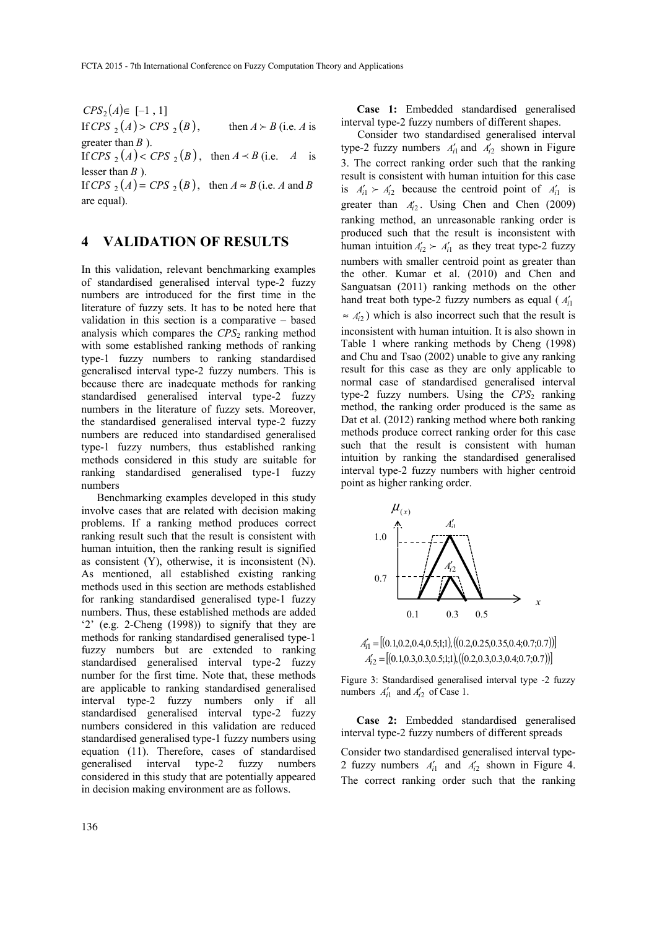$CPS_2(A) \in [-1, 1]$ If *CPS*  $_2(A)$  > *CPS*  $_2(B)$ , then  $A \succ B$  (i.e. *A* is greater than *B* ).

If *CPS*  $_2(A) < CPS$   $_2(B)$ , then  $A \prec B$  (i.e. *A* is lesser than *B* ).

If *CPS*  $_2(A) = CPS$   $_2(B)$ , then  $A \approx B$  (i.e. *A* and *B* are equal).

# **4 VALIDATION OF RESULTS**

In this validation, relevant benchmarking examples of standardised generalised interval type-2 fuzzy numbers are introduced for the first time in the literature of fuzzy sets. It has to be noted here that validation in this section is a comparative – based analysis which compares the *CPS*<sub>2</sub> ranking method with some established ranking methods of ranking type-1 fuzzy numbers to ranking standardised generalised interval type-2 fuzzy numbers. This is because there are inadequate methods for ranking standardised generalised interval type-2 fuzzy numbers in the literature of fuzzy sets. Moreover, the standardised generalised interval type-2 fuzzy numbers are reduced into standardised generalised type-1 fuzzy numbers, thus established ranking methods considered in this study are suitable for ranking standardised generalised type-1 fuzzy numbers

Benchmarking examples developed in this study involve cases that are related with decision making problems. If a ranking method produces correct ranking result such that the result is consistent with human intuition, then the ranking result is signified as consistent (Y), otherwise, it is inconsistent (N). As mentioned, all established existing ranking methods used in this section are methods established for ranking standardised generalised type-1 fuzzy numbers. Thus, these established methods are added '2' (e.g. 2-Cheng (1998)) to signify that they are methods for ranking standardised generalised type-1 fuzzy numbers but are extended to ranking standardised generalised interval type-2 fuzzy number for the first time. Note that, these methods are applicable to ranking standardised generalised interval type-2 fuzzy numbers only if all standardised generalised interval type-2 fuzzy numbers considered in this validation are reduced standardised generalised type-1 fuzzy numbers using equation (11). Therefore, cases of standardised generalised interval type-2 fuzzy numbers considered in this study that are potentially appeared in decision making environment are as follows.

**Case 1:** Embedded standardised generalised interval type-2 fuzzy numbers of different shapes.

Consider two standardised generalised interval type-2 fuzzy numbers  $A'_{i1}$  and  $A'_{i2}$  shown in Figure 3. The correct ranking order such that the ranking result is consistent with human intuition for this case is  $A'_{i1} \succ A'_{i2}$  because the centroid point of  $A'_{i1}$  is greater than  $A'_{i2}$ . Using Chen and Chen (2009) ranking method, an unreasonable ranking order is produced such that the result is inconsistent with human intuition  $A'_{i2} \succ A'_{i1}$  as they treat type-2 fuzzy numbers with smaller centroid point as greater than the other. Kumar et al. (2010) and Chen and Sanguatsan (2011) ranking methods on the other hand treat both type-2 fuzzy numbers as equal ( $A'_{i1}$ )  $\approx A'_{2}$ ) which is also incorrect such that the result is inconsistent with human intuition. It is also shown in Table 1 where ranking methods by Cheng (1998) and Chu and Tsao (2002) unable to give any ranking result for this case as they are only applicable to normal case of standardised generalised interval type-2 fuzzy numbers. Using the  $CPS_2$  ranking method, the ranking order produced is the same as Dat et al. (2012) ranking method where both ranking methods produce correct ranking order for this case such that the result is consistent with human intuition by ranking the standardised generalised interval type-2 fuzzy numbers with higher centroid point as higher ranking order.



 $A'_{i1} = [(0.1, 0.2, 0.4, 0.5, 1, 1), ((0.2, 0.25, 0.35, 0.4, 0.7, 0.7))]$  $A'_{12} = [(0.1, 0.3, 0.3, 0.5, 1, 1), ((0.2, 0.3, 0.3, 0.4, 0.7, 0.7))]$ 

Figure 3: Standardised generalised interval type -2 fuzzy numbers  $A'_{i1}$  and  $A'_{i2}$  of Case 1.

**Case 2:** Embedded standardised generalised interval type-2 fuzzy numbers of different spreads

Consider two standardised generalised interval type-2 fuzzy numbers  $A'_{i1}$  and  $A'_{i2}$  shown in Figure 4. The correct ranking order such that the ranking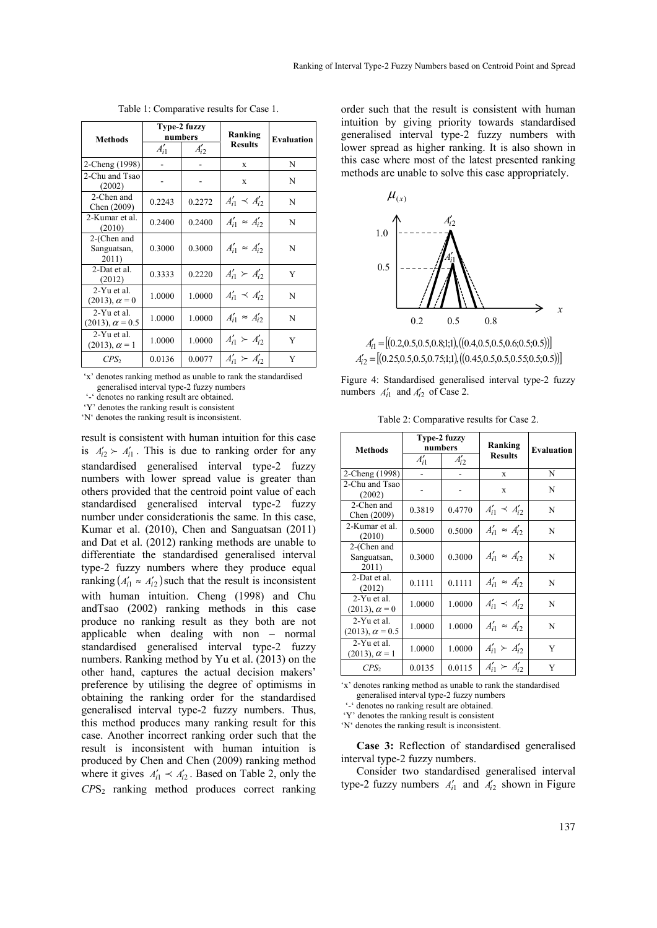| <b>Methods</b>                        | Type-2 fuzzy<br>numbers |           | Ranking                   | <b>Evaluation</b> |
|---------------------------------------|-------------------------|-----------|---------------------------|-------------------|
|                                       | $A'_{i1}$               | $A'_{i2}$ | <b>Results</b>            |                   |
| 2-Cheng (1998)                        |                         |           | $\mathbf x$               | N                 |
| 2-Chu and Tsao<br>(2002)              |                         |           | X                         | N                 |
| 2-Chen and<br>Chen (2009)             | 0.2243                  | 0.2272    | $A'_{i1} \preceq A'_{i2}$ | N                 |
| 2-Kumar et al.<br>(2010)              | 0.2400                  | 0.2400    | $A'_{i1} \approx A'_{i2}$ | N                 |
| 2-(Chen and<br>Sanguatsan,<br>2011)   | 0.3000                  | 0.3000    | $A'_{i1} \approx A'_{i2}$ | N                 |
| 2-Dat et al.<br>(2012)                | 0.3333                  | 0.2220    | $A'_{i1} \succ A'_{i2}$   | Y                 |
| 2-Yu et al.<br>$(2013), \alpha = 0$   | 1.0000                  | 1.0000    | $A'_{i1} \prec A'_{i2}$   | N                 |
| 2-Yu et al.<br>$(2013), \alpha = 0.5$ | 1.0000                  | 1.0000    | $A'_{i1} \approx A'_{i2}$ | N                 |
| 2-Yu et al.<br>$(2013), \alpha = 1$   | 1.0000                  | 1.0000    | $A'_{i1} \succ A'_{i2}$   | Y                 |
| $CPS_2$                               | 0.0136                  | 0.0077    | $A'_{i1} \succ A'_{i2}$   | Y                 |

Table 1: Comparative results for Case 1.

 'x' denotes ranking method as unable to rank the standardised generalised interval type-2 fuzzy numbers

'-' denotes no ranking result are obtained.

'Y' denotes the ranking result is consistent

'N' denotes the ranking result is inconsistent.

result is consistent with human intuition for this case is  $A'_{i2} > A'_{i1}$ . This is due to ranking order for any standardised generalised interval type-2 fuzzy numbers with lower spread value is greater than others provided that the centroid point value of each standardised generalised interval type-2 fuzzy number under considerationis the same. In this case, Kumar et al. (2010), Chen and Sanguatsan (2011) and Dat et al. (2012) ranking methods are unable to differentiate the standardised generalised interval type-2 fuzzy numbers where they produce equal ranking  $(A'_{i1} \approx A'_{i2})$  such that the result is inconsistent with human intuition. Cheng (1998) and Chu andTsao (2002) ranking methods in this case produce no ranking result as they both are not applicable when dealing with non – normal standardised generalised interval type-2 fuzzy numbers. Ranking method by Yu et al. (2013) on the other hand, captures the actual decision makers' preference by utilising the degree of optimisms in obtaining the ranking order for the standardised generalised interval type-2 fuzzy numbers. Thus, this method produces many ranking result for this case. Another incorrect ranking order such that the result is inconsistent with human intuition is produced by Chen and Chen (2009) ranking method where it gives  $A'_{i1} \prec A'_{i2}$ . Based on Table 2, only the *CP*S2 ranking method produces correct ranking

order such that the result is consistent with human intuition by giving priority towards standardised generalised interval type-2 fuzzy numbers with lower spread as higher ranking. It is also shown in this case where most of the latest presented ranking methods are unable to solve this case appropriately.



 $A'_{i1} = [(0.2, 0.5, 0.5, 0.8; 1; 1), ((0.4, 0.5, 0.5, 0.6; 0.5; 0.5))]$  $A'_{12} = [(0.25, 0.5, 0.5, 0.75, 1, 1), ((0.45, 0.5, 0.5, 0.55, 0.5, 0.5))]$ 

Figure 4: Standardised generalised interval type-2 fuzzy numbers  $A'_{i1}$  and  $A'_{i2}$  of Case 2.

Table 2: Comparative results for Case 2.

| <b>Methods</b>                          | Type-2 fuzzy<br>numbers |           | Ranking                   | <b>Evaluation</b> |
|-----------------------------------------|-------------------------|-----------|---------------------------|-------------------|
|                                         | $A'_{i1}$               | $A'_{i2}$ | <b>Results</b>            |                   |
| 2-Cheng (1998)                          |                         |           | X                         | N                 |
| 2-Chu and Tsao<br>(2002)                |                         |           | X                         | N                 |
| 2-Chen and<br>Chen (2009)               | 0.3819                  | 0.4770    | $A'_{i1} \prec A'_{i2}$   | N                 |
| 2-Kumar et al.<br>(2010)                | 0.5000                  | 0.5000    | $A'_{i1} \approx A'_{i2}$ | N                 |
| 2-(Chen and<br>Sanguatsan,<br>2011)     | 0.3000                  | 0.3000    | $A'_{i1} \approx A'_{i2}$ | N                 |
| 2-Dat et al.<br>(2012)                  | 0.1111                  | 0.1111    | $A'_{i1} \approx A'_{i2}$ | N                 |
| 2-Yu et al.<br>$(2013), \alpha = 0$     | 1.0000                  | 1.0000    | $A'_{i1} \prec A'_{i2}$   | N                 |
| $2-Yu$ et al.<br>$(2013), \alpha = 0.5$ | 1.0000                  | 1.0000    | $A'_{i1} \approx A'_{i2}$ | N                 |
| $2-Yu$ et al.<br>$(2013), \alpha = 1$   | 1.0000                  | 1.0000    | $A'_{i1} \succ A'_{i2}$   | Y                 |
| $CPS_2$                                 | 0.0135                  | 0.0115    | $A'_{i1} \succ A'_{i2}$   | Y                 |

'x' denotes ranking method as unable to rank the standardised generalised interval type-2 fuzzy numbers

'-' denotes no ranking result are obtained.

'Y' denotes the ranking result is consistent

'N' denotes the ranking result is inconsistent.

**Case 3:** Reflection of standardised generalised interval type-2 fuzzy numbers.

Consider two standardised generalised interval type-2 fuzzy numbers  $A'_{i1}$  and  $A'_{i2}$  shown in Figure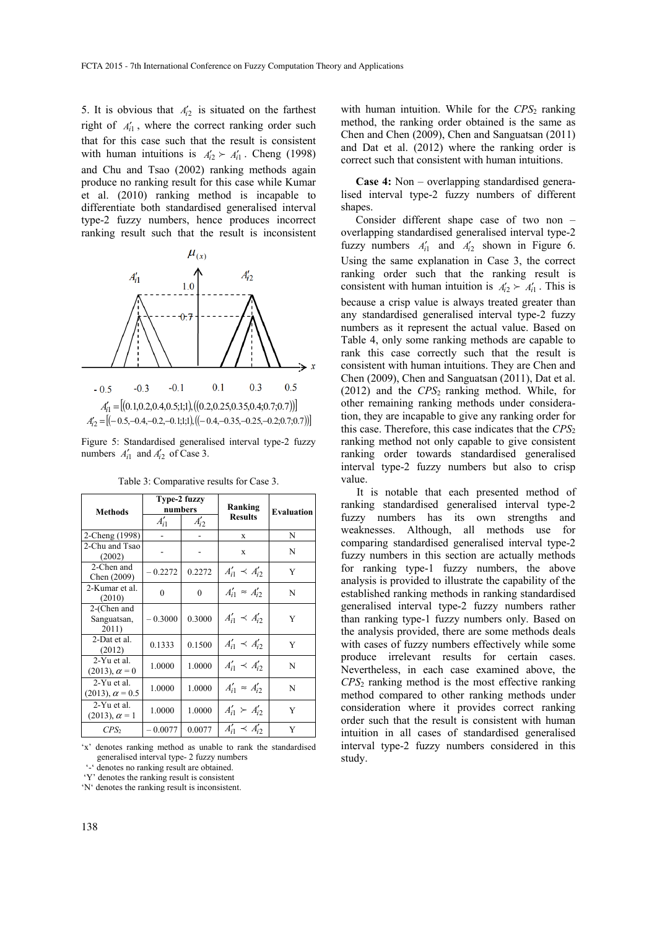5. It is obvious that  $A'_{2}$  is situated on the farthest right of  $A'_{i1}$ , where the correct ranking order such that for this case such that the result is consistent with human intuitions is  $A'_{i2} \succ A'_{i1}$ . Cheng (1998) and Chu and Tsao (2002) ranking methods again produce no ranking result for this case while Kumar et al. (2010) ranking method is incapable to differentiate both standardised generalised interval type-2 fuzzy numbers, hence produces incorrect ranking result such that the result is inconsistent



Figure 5: Standardised generalised interval type-2 fuzzy numbers  $A'_{i1}$  and  $A'_{i2}$  of Case 3.

| <b>Methods</b>                        | Type-2 fuzzy<br>numbers |           | Ranking                   | <b>Evaluation</b> |
|---------------------------------------|-------------------------|-----------|---------------------------|-------------------|
|                                       | $A'_{i1}$               | $A'_{i2}$ | <b>Results</b>            |                   |
| 2-Cheng (1998)                        |                         |           | $\mathbf x$               | N                 |
| 2-Chu and Tsao<br>(2002)              |                         |           | X                         | N                 |
| 2-Chen and<br>Chen (2009)             | $-0.2272$               | 0.2272    | $A'_{i1} \prec A'_{i2}$   | Y                 |
| 2-Kumar et al.<br>(2010)              | 0                       | $\theta$  | $A'_{i1} = A'_{i2}$       | N                 |
| 2-(Chen and<br>Sanguatsan,<br>2011)   | $-0.3000$               | 0.3000    | $A'_{i1} \prec A'_{i2}$   | Y                 |
| 2-Dat et al.<br>(2012)                | 0.1333                  | 0.1500    | $A'_{i1} \prec A'_{i2}$   | Y                 |
| $2-Yu$ et al.<br>$(2013), \alpha = 0$ | 1.0000                  | 1.0000    | $A'_{i1} \prec A'_{i2}$   | N                 |
| 2-Yu et al.<br>$(2013), \alpha = 0.5$ | 1.0000                  | 1.0000    | $A'_{i1} \approx A'_{i2}$ | N                 |
| $2-Yu$ et al.<br>$(2013), \alpha = 1$ | 1.0000                  | 1.0000    | $A'_{i1} \succ A'_{i2}$   | Y                 |
| $CPS_2$                               | $-0.0077$               | 0.0077    | $A'_{i1} \prec A'_{i2}$   | Y                 |

Table 3: Comparative results for Case 3.

'x' denotes ranking method as unable to rank the standardised generalised interval type- 2 fuzzy numbers

denotes no ranking result are obtained.

'Y' denotes the ranking result is consistent

'N' denotes the ranking result is inconsistent.

with human intuition. While for the  $CPS<sub>2</sub>$  ranking method, the ranking order obtained is the same as Chen and Chen (2009), Chen and Sanguatsan (2011) and Dat et al. (2012) where the ranking order is correct such that consistent with human intuitions.

**Case 4:** Non – overlapping standardised generalised interval type-2 fuzzy numbers of different shapes.

Consider different shape case of two non – overlapping standardised generalised interval type-2 fuzzy numbers  $A'_{i1}$  and  $A'_{i2}$  shown in Figure 6. Using the same explanation in Case 3, the correct ranking order such that the ranking result is consistent with human intuition is  $A'_{2} \succ A'_{1}$ . This is because a crisp value is always treated greater than any standardised generalised interval type-2 fuzzy numbers as it represent the actual value. Based on Table 4, only some ranking methods are capable to rank this case correctly such that the result is consistent with human intuitions. They are Chen and Chen (2009), Chen and Sanguatsan (2011), Dat et al. (2012) and the *CPS*2 ranking method. While, for other remaining ranking methods under consideration, they are incapable to give any ranking order for this case. Therefore, this case indicates that the *CPS*<sup>2</sup> ranking method not only capable to give consistent ranking order towards standardised generalised interval type-2 fuzzy numbers but also to crisp value.

It is notable that each presented method of ranking standardised generalised interval type-2 fuzzy numbers has its own strengths and weaknesses. Although, all methods use for comparing standardised generalised interval type-2 fuzzy numbers in this section are actually methods for ranking type-1 fuzzy numbers, the above analysis is provided to illustrate the capability of the established ranking methods in ranking standardised generalised interval type-2 fuzzy numbers rather than ranking type-1 fuzzy numbers only. Based on the analysis provided, there are some methods deals with cases of fuzzy numbers effectively while some produce irrelevant results for certain cases. Nevertheless, in each case examined above, the *CPS*2 ranking method is the most effective ranking method compared to other ranking methods under consideration where it provides correct ranking order such that the result is consistent with human intuition in all cases of standardised generalised interval type-2 fuzzy numbers considered in this study.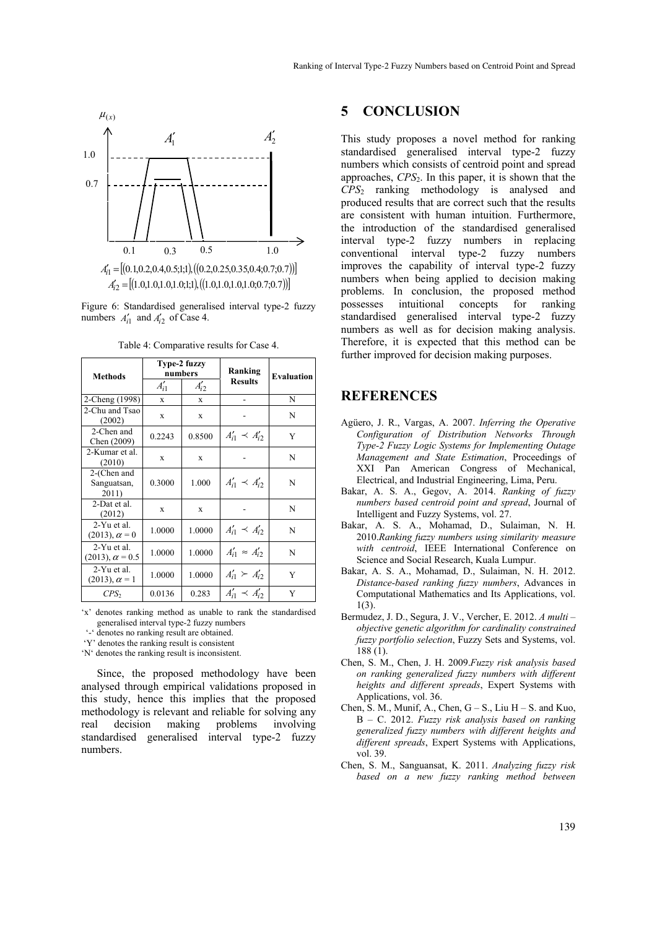

Figure 6: Standardised generalised interval type-2 fuzzy numbers  $A'_{i1}$  and  $A'_{i2}$  of Case 4.

|                                       | Type-2 fuzzy |           | Ranking                   | <b>Evaluation</b> |
|---------------------------------------|--------------|-----------|---------------------------|-------------------|
| <b>Methods</b>                        | numbers      |           |                           |                   |
|                                       | $A'_{i1}$    | $A'_{i2}$ | <b>Results</b>            |                   |
| 2-Cheng (1998)                        | X            | X         |                           | N                 |
| 2-Chu and Tsao<br>(2002)              | X            | X         |                           | N                 |
| 2-Chen and<br>Chen (2009)             | 0.2243       | 0.8500    | $A'_{i1} \prec A'_{i2}$   | Y                 |
| 2-Kumar et al.<br>(2010)              | $\mathbf x$  | X         |                           | N                 |
| 2-(Chen and<br>Sanguatsan,<br>2011)   | 0.3000       | 1.000     | $A'_{i1} \prec A'_{i2}$   | N                 |
| 2-Dat et al.<br>(2012)                | $\mathbf x$  | X         |                           | N                 |
| 2-Yu et al.<br>$(2013), \alpha = 0$   | 1.0000       | 1.0000    | $A'_{i1} \prec A'_{i2}$   | N                 |
| 2-Yu et al.<br>$(2013), \alpha = 0.5$ | 1.0000       | 1.0000    | $A'_{i1} \approx A'_{i2}$ | N                 |
| 2-Yu et al.<br>$(2013), \alpha = 1$   | 1.0000       | 1.0000    | $A'_{i1} \succ A'_{i2}$   | Y                 |
| CPS <sub>2</sub>                      | 0.0136       | 0.283     | $A'_{i1} \prec A'_{i2}$   | Y                 |

Table 4: Comparative results for Case 4.

'x' denotes ranking method as unable to rank the standardised generalised interval type-2 fuzzy numbers

'-' denotes no ranking result are obtained.

'Y' denotes the ranking result is consistent

'N' denotes the ranking result is inconsistent.

Since, the proposed methodology have been analysed through empirical validations proposed in this study, hence this implies that the proposed methodology is relevant and reliable for solving any real decision making problems involving standardised generalised interval type-2 fuzzy numbers.

## **5 CONCLUSION**

This study proposes a novel method for ranking standardised generalised interval type-2 fuzzy numbers which consists of centroid point and spread approaches, *CPS*2. In this paper, it is shown that the *CPS*2 ranking methodology is analysed and produced results that are correct such that the results are consistent with human intuition. Furthermore, the introduction of the standardised generalised interval type-2 fuzzy numbers in replacing conventional interval type-2 fuzzy numbers improves the capability of interval type-2 fuzzy numbers when being applied to decision making problems. In conclusion, the proposed method possesses intuitional concepts for ranking standardised generalised interval type-2 fuzzy numbers as well as for decision making analysis. Therefore, it is expected that this method can be further improved for decision making purposes.

## **REFERENCES**

- Agüero, J. R., Vargas, A. 2007. *Inferring the Operative Configuration of Distribution Networks Through Type-2 Fuzzy Logic Systems for Implementing Outage Management and State Estimation*, Proceedings of XXI Pan American Congress of Mechanical, Electrical, and Industrial Engineering, Lima, Peru.
- Bakar, A. S. A., Gegov, A. 2014. *Ranking of fuzzy numbers based centroid point and spread*, Journal of Intelligent and Fuzzy Systems, vol. 27.
- Bakar, A. S. A., Mohamad, D., Sulaiman, N. H. 2010.*Ranking fuzzy numbers using similarity measure with centroid*, IEEE International Conference on Science and Social Research, Kuala Lumpur.
- Bakar, A. S. A., Mohamad, D., Sulaiman, N. H. 2012. *Distance-based ranking fuzzy numbers*, Advances in Computational Mathematics and Its Applications, vol. 1(3).
- Bermudez, J. D., Segura, J. V., Vercher, E. 2012. *A multi objective genetic algorithm for cardinality constrained fuzzy portfolio selection*, Fuzzy Sets and Systems, vol. 188 (1).
- Chen, S. M., Chen, J. H. 2009.*Fuzzy risk analysis based on ranking generalized fuzzy numbers with different heights and different spreads*, Expert Systems with Applications, vol. 36.
- Chen, S. M., Munif, A., Chen,  $G S$ ., Liu  $H S$ . and Kuo, B – C. 2012. *Fuzzy risk analysis based on ranking generalized fuzzy numbers with different heights and different spreads*, Expert Systems with Applications, vol. 39.
- Chen, S. M., Sanguansat, K. 2011. *Analyzing fuzzy risk based on a new fuzzy ranking method between*